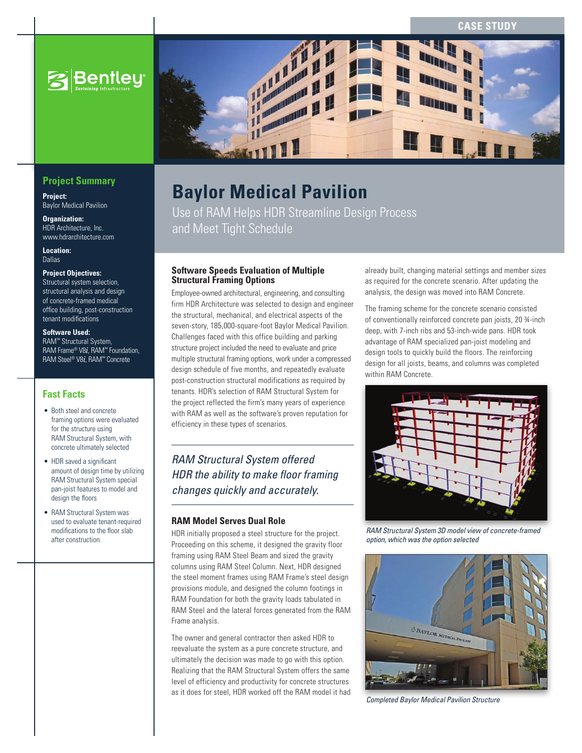**CASE STUD** 



### **Project Summary**

**Project:** Baylor Medical Pavilion

**Organization:** HDR Architecture, Inc. www.hdrarchitecture.com

**Location:** Dallas

#### **Project Objectives:**

Structural system selection, structural analysis and design of concrete-framed medical office building, post-construction tenant modifications

#### **Software Used:**

RAM™ Structural System, RAM Frame® V8*i*, RAM™ Foundation, RAM Steel® V8*i*, RAM™ Concrete

### **Fast Facts**

- Both steel and concrete framing options were evaluated for the structure using RAM Structural System, with concrete ultimately selected
- HDR saved a significant amount of design time by utilizing RAM Structural System special pan-joist features to model and design the floors
- RAM Structural System was used to evaluate tenant-required modifications to the floor slab after construction



# **Baylor Medical Pavilion**

Use of RAM Helps HDR Streamline Design Process and Meet Tight Schedule

#### **Software Speeds Evaluation of Multiple Structural Framing Options**

Employee-owned architectural, engineering, and consulting firm HDR Architecture was selected to design and engineer the structural, mechanical, and electrical aspects of the seven-story, 185,000-square-foot Baylor Medical Pavilion. Challenges faced with this office building and parking structure project included the need to evaluate and price multiple structural framing options, work under a compressed design schedule of five months, and repeatedly evaluate post-construction structural modifications as required by tenants. HDR's selection of RAM Structural System for the project reflected the firm's many years of experience with RAM as well as the software's proven reputation for efficiency in these types of scenarios.

# *RAM Structural System offered HDR the ability to make floor framing changes quickly and accurately.*

## **RAM Model Serves Dual Role**

HDR initially proposed a steel structure for the project. Proceeding on this scheme, it designed the gravity floor framing using RAM Steel Beam and sized the gravity columns using RAM Steel Column. Next, HDR designed the steel moment frames using RAM Frame's steel design provisions module, and designed the column footings in RAM Foundation for both the gravity loads tabulated in RAM Steel and the lateral forces generated from the RAM Frame analysis.

The owner and general contractor then asked HDR to reevaluate the system as a pure concrete structure, and ultimately the decision was made to go with this option. Realizing that the RAM Structural System offers the same level of efficiency and productivity for concrete structures as it does for steel, HDR worked off the RAM model it had already built, changing material settings and member sizes as required for the concrete scenario. After updating the analysis, the design was moved into RAM Concrete.

The framing scheme for the concrete scenario consisted of conventionally reinforced concrete pan joists, 20 ¾-inch deep, with 7-inch ribs and 53-inch-wide pans. HDR took advantage of RAM specialized pan-joist modeling and design tools to quickly build the floors. The reinforcing design for all joists, beams, and columns was completed within RAM Concrete.



*RAM Structural System 3D model view of concrete-framed option, which was the option selected*



*Completed Baylor Medical Pavilion Structure*